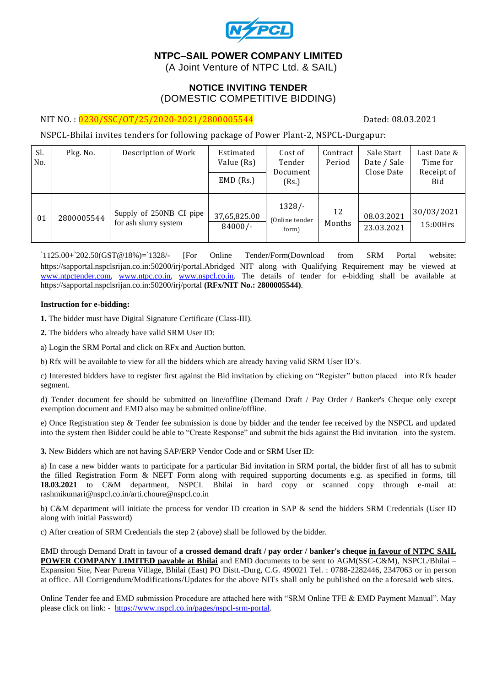

# **NTPC–SAIL POWER COMPANY LIMITED**

(A Joint Venture of NTPC Ltd. & SAIL)

## **NOTICE INVITING TENDER** (DOMESTIC COMPETITIVE BIDDING)

### NIT NO.:  $\frac{0230}{550}$  /SSC/OT/25/2020-2021/2800005544

NSPCL-Bhilai invites tenders for following package of Power Plant-2, NSPCL-Durgapur:

| Sl.<br>No. | Pkg. No.   | Description of Work                              | Estimated<br>Value (Rs)<br>$EMD$ (Rs.) | Cost of<br>Tender<br>Document<br>(Rs.) | Contract<br>Period | Sale Start<br>Date / Sale<br>Close Date | Last Date &<br>Time for<br>Receipt of<br>Bid |
|------------|------------|--------------------------------------------------|----------------------------------------|----------------------------------------|--------------------|-----------------------------------------|----------------------------------------------|
| 01         | 2800005544 | Supply of 250NB CI pipe<br>for ash slurry system | 37,65,825.00<br>$84000/-$              | $1328/-$<br>(Online tender<br>form)    | 12<br>Months       | 08.03.2021<br>23.03.2021                | 30/03/2021<br>15:00Hrs                       |

`1125.00+`202.50(GST@18%)=`1328/- [For Online Tender/Form(Download from SRM Portal website: https://sapportal.nspclsrijan.co.in:50200/irj/portal.Abridged NIT along with Qualifying Requirement may be viewed at [www.ntpctender.com,](http://www.ntpctender.com/) [www.ntpc.co.in,](http://www.ntpc.co.in/) [www.nspcl.co.in.](http://www.nspcl.co.in/) The details of tender for e-bidding shall be available at https://sapportal.nspclsrijan.co.in:50200/irj/portal **(RFx/NIT No.: 2800005544)**.

### **Instruction for e-bidding:**

**1.** The bidder must have Digital Signature Certificate (Class-III).

**2.** The bidders who already have valid SRM User ID:

a) Login the SRM Portal and click on RFx and Auction button.

b) Rfx will be available to view for all the bidders which are already having valid SRM User ID's.

c) Interested bidders have to register first against the Bid invitation by clicking on "Register" button placed into Rfx header segment.

d) Tender document fee should be submitted on line/offline (Demand Draft / Pay Order / Banker's Cheque only except exemption document and EMD also may be submitted online/offline.

e) Once Registration step & Tender fee submission is done by bidder and the tender fee received by the NSPCL and updated into the system then Bidder could be able to "Create Response" and submit the bids against the Bid invitation into the system.

**3.** New Bidders which are not having SAP/ERP Vendor Code and or SRM User ID:

a) In case a new bidder wants to participate for a particular Bid invitation in SRM portal, the bidder first of all has to submit the filled Registration Form & NEFT Form along with required supporting documents e.g. as specified in forms, till **18.03.2021** to C&M department, NSPCL Bhilai in hard copy or scanned copy through e-mail at: rashmikumari@nspcl.co.in/arti.choure@nspcl.co.in

b) C&M department will initiate the process for vendor ID creation in SAP & send the bidders SRM Credentials (User ID along with initial Password)

c) After creation of SRM Credentials the step 2 (above) shall be followed by the bidder.

EMD through Demand Draft in favour of **a crossed demand draft / pay order / banker's cheque in favour of NTPC SAIL POWER COMPANY LIMITED payable at Bhilai** and EMD documents to be sent to AGM(SSC-C&M), NSPCL/Bhilai – Expansion Site, Near Purena Village, Bhilai (East) PO Distt.-Durg, C.G. 490021 Tel. : 0788-2282446, 2347063 or in person at office. All Corrigendum/Modifications/Updates for the above NITs shall only be published on the a foresaid web sites.

Online Tender fee and EMD submission Procedure are attached here with "SRM Online TFE & EMD Payment Manual". May please click on link: - [https://www.nspcl.co.in/pages/nspcl-srm-portal.](https://www.nspcl.co.in/pages/nspcl-srm-portal)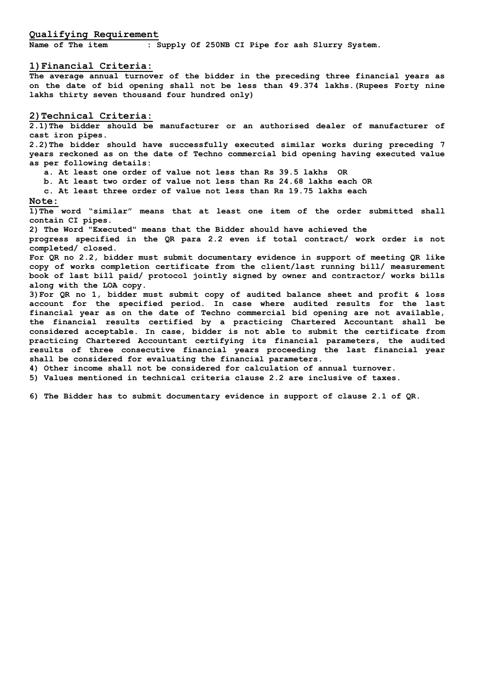#### **Qualifying Requirement**

**Name of The item : Supply Of 250NB CI Pipe for ash Slurry System.**

#### **1)Financial Criteria:**

**The average annual turnover of the bidder in the preceding three financial years as on the date of bid opening shall not be less than 49.374 lakhs.(Rupees Forty nine lakhs thirty seven thousand four hundred only)**

#### **2)Technical Criteria:**

**2.1)The bidder should be manufacturer or an authorised dealer of manufacturer of cast iron pipes.** 

**2.2)The bidder should have successfully executed similar works during preceding 7 years reckoned as on the date of Techno commercial bid opening having executed value as per following details:**

**a. At least one order of value not less than Rs 39.5 lakhs OR**

**b. At least two order of value not less than Rs 24.68 lakhs each OR**

**c. At least three order of value not less than Rs 19.75 lakhs each**

### **Note:**

**1)The word "similar" means that at least one item of the order submitted shall contain CI pipes.**

**2) The Word "Executed" means that the Bidder should have achieved the**

**progress specified in the QR para 2.2 even if total contract/ work order is not completed/ closed.** 

**For QR no 2.2, bidder must submit documentary evidence in support of meeting QR like copy of works completion certificate from the client/last running bill/ measurement book of last bill paid/ protocol jointly signed by owner and contractor/ works bills along with the LOA copy.**

**3)For QR no 1, bidder must submit copy of audited balance sheet and profit & loss account for the specified period. In case where audited results for the last financial year as on the date of Techno commercial bid opening are not available, the financial results certified by a practicing Chartered Accountant shall be considered acceptable. In case, bidder is not able to submit the certificate from practicing Chartered Accountant certifying its financial parameters, the audited results of three consecutive financial years proceeding the last financial year shall be considered for evaluating the financial parameters.** 

**4) Other income shall not be considered for calculation of annual turnover.**

**5) Values mentioned in technical criteria clause 2.2 are inclusive of taxes.** 

**6) The Bidder has to submit documentary evidence in support of clause 2.1 of QR.**